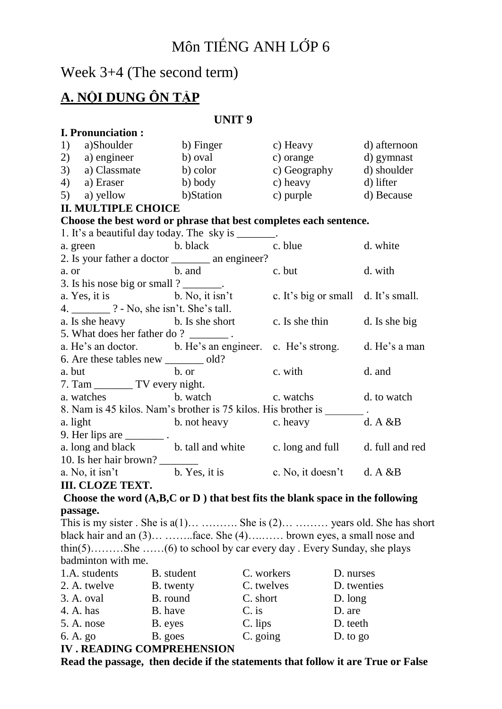# Môn TIẾNG ANH LỚP 6

Week 3+4 (The second term)

# **A. NỘI DUNG ÔN TẬP**

### **UNIT 9**

|                                                                                    |                                                                                                                                                                                                                                     | d) afternoon                                                                                                                                                                                                                                                                                                                                                                                                                                                                                                                                                                                                                                                                                                                                                                                                                                                                                                                                                                                                                                                                                                                                                                                                                                                                                                                                                                                                                                                                      |  |  |  |
|------------------------------------------------------------------------------------|-------------------------------------------------------------------------------------------------------------------------------------------------------------------------------------------------------------------------------------|-----------------------------------------------------------------------------------------------------------------------------------------------------------------------------------------------------------------------------------------------------------------------------------------------------------------------------------------------------------------------------------------------------------------------------------------------------------------------------------------------------------------------------------------------------------------------------------------------------------------------------------------------------------------------------------------------------------------------------------------------------------------------------------------------------------------------------------------------------------------------------------------------------------------------------------------------------------------------------------------------------------------------------------------------------------------------------------------------------------------------------------------------------------------------------------------------------------------------------------------------------------------------------------------------------------------------------------------------------------------------------------------------------------------------------------------------------------------------------------|--|--|--|
|                                                                                    |                                                                                                                                                                                                                                     |                                                                                                                                                                                                                                                                                                                                                                                                                                                                                                                                                                                                                                                                                                                                                                                                                                                                                                                                                                                                                                                                                                                                                                                                                                                                                                                                                                                                                                                                                   |  |  |  |
|                                                                                    |                                                                                                                                                                                                                                     | d) shoulder                                                                                                                                                                                                                                                                                                                                                                                                                                                                                                                                                                                                                                                                                                                                                                                                                                                                                                                                                                                                                                                                                                                                                                                                                                                                                                                                                                                                                                                                       |  |  |  |
|                                                                                    |                                                                                                                                                                                                                                     |                                                                                                                                                                                                                                                                                                                                                                                                                                                                                                                                                                                                                                                                                                                                                                                                                                                                                                                                                                                                                                                                                                                                                                                                                                                                                                                                                                                                                                                                                   |  |  |  |
|                                                                                    |                                                                                                                                                                                                                                     |                                                                                                                                                                                                                                                                                                                                                                                                                                                                                                                                                                                                                                                                                                                                                                                                                                                                                                                                                                                                                                                                                                                                                                                                                                                                                                                                                                                                                                                                                   |  |  |  |
| <b>II. MULTIPLE CHOICE</b>                                                         |                                                                                                                                                                                                                                     |                                                                                                                                                                                                                                                                                                                                                                                                                                                                                                                                                                                                                                                                                                                                                                                                                                                                                                                                                                                                                                                                                                                                                                                                                                                                                                                                                                                                                                                                                   |  |  |  |
|                                                                                    |                                                                                                                                                                                                                                     |                                                                                                                                                                                                                                                                                                                                                                                                                                                                                                                                                                                                                                                                                                                                                                                                                                                                                                                                                                                                                                                                                                                                                                                                                                                                                                                                                                                                                                                                                   |  |  |  |
|                                                                                    |                                                                                                                                                                                                                                     |                                                                                                                                                                                                                                                                                                                                                                                                                                                                                                                                                                                                                                                                                                                                                                                                                                                                                                                                                                                                                                                                                                                                                                                                                                                                                                                                                                                                                                                                                   |  |  |  |
|                                                                                    |                                                                                                                                                                                                                                     | d. white                                                                                                                                                                                                                                                                                                                                                                                                                                                                                                                                                                                                                                                                                                                                                                                                                                                                                                                                                                                                                                                                                                                                                                                                                                                                                                                                                                                                                                                                          |  |  |  |
|                                                                                    |                                                                                                                                                                                                                                     |                                                                                                                                                                                                                                                                                                                                                                                                                                                                                                                                                                                                                                                                                                                                                                                                                                                                                                                                                                                                                                                                                                                                                                                                                                                                                                                                                                                                                                                                                   |  |  |  |
| a. or                                                                              |                                                                                                                                                                                                                                     | d. with                                                                                                                                                                                                                                                                                                                                                                                                                                                                                                                                                                                                                                                                                                                                                                                                                                                                                                                                                                                                                                                                                                                                                                                                                                                                                                                                                                                                                                                                           |  |  |  |
|                                                                                    |                                                                                                                                                                                                                                     |                                                                                                                                                                                                                                                                                                                                                                                                                                                                                                                                                                                                                                                                                                                                                                                                                                                                                                                                                                                                                                                                                                                                                                                                                                                                                                                                                                                                                                                                                   |  |  |  |
|                                                                                    |                                                                                                                                                                                                                                     |                                                                                                                                                                                                                                                                                                                                                                                                                                                                                                                                                                                                                                                                                                                                                                                                                                                                                                                                                                                                                                                                                                                                                                                                                                                                                                                                                                                                                                                                                   |  |  |  |
|                                                                                    |                                                                                                                                                                                                                                     |                                                                                                                                                                                                                                                                                                                                                                                                                                                                                                                                                                                                                                                                                                                                                                                                                                                                                                                                                                                                                                                                                                                                                                                                                                                                                                                                                                                                                                                                                   |  |  |  |
|                                                                                    |                                                                                                                                                                                                                                     |                                                                                                                                                                                                                                                                                                                                                                                                                                                                                                                                                                                                                                                                                                                                                                                                                                                                                                                                                                                                                                                                                                                                                                                                                                                                                                                                                                                                                                                                                   |  |  |  |
|                                                                                    |                                                                                                                                                                                                                                     |                                                                                                                                                                                                                                                                                                                                                                                                                                                                                                                                                                                                                                                                                                                                                                                                                                                                                                                                                                                                                                                                                                                                                                                                                                                                                                                                                                                                                                                                                   |  |  |  |
|                                                                                    |                                                                                                                                                                                                                                     |                                                                                                                                                                                                                                                                                                                                                                                                                                                                                                                                                                                                                                                                                                                                                                                                                                                                                                                                                                                                                                                                                                                                                                                                                                                                                                                                                                                                                                                                                   |  |  |  |
| 6. Are these tables new ______ old?                                                |                                                                                                                                                                                                                                     |                                                                                                                                                                                                                                                                                                                                                                                                                                                                                                                                                                                                                                                                                                                                                                                                                                                                                                                                                                                                                                                                                                                                                                                                                                                                                                                                                                                                                                                                                   |  |  |  |
|                                                                                    |                                                                                                                                                                                                                                     | d. and                                                                                                                                                                                                                                                                                                                                                                                                                                                                                                                                                                                                                                                                                                                                                                                                                                                                                                                                                                                                                                                                                                                                                                                                                                                                                                                                                                                                                                                                            |  |  |  |
|                                                                                    |                                                                                                                                                                                                                                     |                                                                                                                                                                                                                                                                                                                                                                                                                                                                                                                                                                                                                                                                                                                                                                                                                                                                                                                                                                                                                                                                                                                                                                                                                                                                                                                                                                                                                                                                                   |  |  |  |
|                                                                                    |                                                                                                                                                                                                                                     |                                                                                                                                                                                                                                                                                                                                                                                                                                                                                                                                                                                                                                                                                                                                                                                                                                                                                                                                                                                                                                                                                                                                                                                                                                                                                                                                                                                                                                                                                   |  |  |  |
| 8. Nam is 45 kilos. Nam's brother is 75 kilos. His brother is _______.<br>a. light |                                                                                                                                                                                                                                     |                                                                                                                                                                                                                                                                                                                                                                                                                                                                                                                                                                                                                                                                                                                                                                                                                                                                                                                                                                                                                                                                                                                                                                                                                                                                                                                                                                                                                                                                                   |  |  |  |
|                                                                                    |                                                                                                                                                                                                                                     |                                                                                                                                                                                                                                                                                                                                                                                                                                                                                                                                                                                                                                                                                                                                                                                                                                                                                                                                                                                                                                                                                                                                                                                                                                                                                                                                                                                                                                                                                   |  |  |  |
|                                                                                    |                                                                                                                                                                                                                                     |                                                                                                                                                                                                                                                                                                                                                                                                                                                                                                                                                                                                                                                                                                                                                                                                                                                                                                                                                                                                                                                                                                                                                                                                                                                                                                                                                                                                                                                                                   |  |  |  |
|                                                                                    |                                                                                                                                                                                                                                     |                                                                                                                                                                                                                                                                                                                                                                                                                                                                                                                                                                                                                                                                                                                                                                                                                                                                                                                                                                                                                                                                                                                                                                                                                                                                                                                                                                                                                                                                                   |  |  |  |
|                                                                                    |                                                                                                                                                                                                                                     |                                                                                                                                                                                                                                                                                                                                                                                                                                                                                                                                                                                                                                                                                                                                                                                                                                                                                                                                                                                                                                                                                                                                                                                                                                                                                                                                                                                                                                                                                   |  |  |  |
|                                                                                    |                                                                                                                                                                                                                                     |                                                                                                                                                                                                                                                                                                                                                                                                                                                                                                                                                                                                                                                                                                                                                                                                                                                                                                                                                                                                                                                                                                                                                                                                                                                                                                                                                                                                                                                                                   |  |  |  |
|                                                                                    |                                                                                                                                                                                                                                     |                                                                                                                                                                                                                                                                                                                                                                                                                                                                                                                                                                                                                                                                                                                                                                                                                                                                                                                                                                                                                                                                                                                                                                                                                                                                                                                                                                                                                                                                                   |  |  |  |
|                                                                                    |                                                                                                                                                                                                                                     |                                                                                                                                                                                                                                                                                                                                                                                                                                                                                                                                                                                                                                                                                                                                                                                                                                                                                                                                                                                                                                                                                                                                                                                                                                                                                                                                                                                                                                                                                   |  |  |  |
|                                                                                    |                                                                                                                                                                                                                                     |                                                                                                                                                                                                                                                                                                                                                                                                                                                                                                                                                                                                                                                                                                                                                                                                                                                                                                                                                                                                                                                                                                                                                                                                                                                                                                                                                                                                                                                                                   |  |  |  |
|                                                                                    |                                                                                                                                                                                                                                     |                                                                                                                                                                                                                                                                                                                                                                                                                                                                                                                                                                                                                                                                                                                                                                                                                                                                                                                                                                                                                                                                                                                                                                                                                                                                                                                                                                                                                                                                                   |  |  |  |
|                                                                                    |                                                                                                                                                                                                                                     |                                                                                                                                                                                                                                                                                                                                                                                                                                                                                                                                                                                                                                                                                                                                                                                                                                                                                                                                                                                                                                                                                                                                                                                                                                                                                                                                                                                                                                                                                   |  |  |  |
|                                                                                    |                                                                                                                                                                                                                                     |                                                                                                                                                                                                                                                                                                                                                                                                                                                                                                                                                                                                                                                                                                                                                                                                                                                                                                                                                                                                                                                                                                                                                                                                                                                                                                                                                                                                                                                                                   |  |  |  |
|                                                                                    |                                                                                                                                                                                                                                     |                                                                                                                                                                                                                                                                                                                                                                                                                                                                                                                                                                                                                                                                                                                                                                                                                                                                                                                                                                                                                                                                                                                                                                                                                                                                                                                                                                                                                                                                                   |  |  |  |
|                                                                                    |                                                                                                                                                                                                                                     | D. nurses                                                                                                                                                                                                                                                                                                                                                                                                                                                                                                                                                                                                                                                                                                                                                                                                                                                                                                                                                                                                                                                                                                                                                                                                                                                                                                                                                                                                                                                                         |  |  |  |
|                                                                                    |                                                                                                                                                                                                                                     | D. twenties                                                                                                                                                                                                                                                                                                                                                                                                                                                                                                                                                                                                                                                                                                                                                                                                                                                                                                                                                                                                                                                                                                                                                                                                                                                                                                                                                                                                                                                                       |  |  |  |
|                                                                                    |                                                                                                                                                                                                                                     | D. long                                                                                                                                                                                                                                                                                                                                                                                                                                                                                                                                                                                                                                                                                                                                                                                                                                                                                                                                                                                                                                                                                                                                                                                                                                                                                                                                                                                                                                                                           |  |  |  |
|                                                                                    |                                                                                                                                                                                                                                     | D. are                                                                                                                                                                                                                                                                                                                                                                                                                                                                                                                                                                                                                                                                                                                                                                                                                                                                                                                                                                                                                                                                                                                                                                                                                                                                                                                                                                                                                                                                            |  |  |  |
|                                                                                    |                                                                                                                                                                                                                                     | D. teeth                                                                                                                                                                                                                                                                                                                                                                                                                                                                                                                                                                                                                                                                                                                                                                                                                                                                                                                                                                                                                                                                                                                                                                                                                                                                                                                                                                                                                                                                          |  |  |  |
|                                                                                    |                                                                                                                                                                                                                                     | D. to go                                                                                                                                                                                                                                                                                                                                                                                                                                                                                                                                                                                                                                                                                                                                                                                                                                                                                                                                                                                                                                                                                                                                                                                                                                                                                                                                                                                                                                                                          |  |  |  |
|                                                                                    | 9. Her lips are $\frac{1}{\sqrt{1-\frac{1}{c^2}}}$ .<br>10. Is her hair brown?<br><b>III. CLOZE TEXT.</b><br>badminton with me.<br>B. student<br>B. twenty<br>B. round<br>B. have<br>B. eyes<br>B. goes<br>IV READING COMPREHENSION | 1) a)Shoulder b) Finger c) Heavy<br>2) a) engineer b) oval c) orange d) gymnast<br>3) a) Classmate b) color c) Geography<br>4) a) Eraser b) body c) heavy d) lifter<br>5) a) yellow b)Station c) purple d) Because<br>Choose the best word or phrase that best completes each sentence.<br>1. It's a beautiful day today. The sky is _______.<br>a. green b. black<br>c. blue<br>2. Is your father a doctor _________ an engineer?<br>b. and c. but<br>3. Is his nose big or small $?$ _______.<br>a. Yes, it is $\overline{b}$ . No, it isn't c. It's big or small d. It's small.<br>$4.$ ____________ ? - No, she isn't. She's tall.<br>a. Is she heavy b. Is she short c. Is she thin d. Is she big<br>5. What does her father do? ________.<br>a. He's an doctor. b. He's an engineer. c. He's strong. d. He's a man<br>a. but b. or<br>c. with<br>a. watches b. watch c. watch b. watch c. watch d. to watch<br>b. not heavy c. heavy d. A &B<br>a. long and black b. tall and white c. long and full d. full and red<br>a. No, it isn't b. Yes, it is c. No, it doesn't d. A &B<br>Choose the word $(A,B,C$ or $D$ ) that best fits the blank space in the following<br>This is my sister. She is $a(1)$ She is $(2)$ years old. She has short<br>black hair and an $(3)$ face. She $(4)$ brown eyes, a small nose and<br>$thin(5)$ She $(6)$ to school by car every day. Every Sunday, she plays<br>C. workers<br>C. twelves<br>C. short<br>$C.$ is<br>C. lips<br>C. going |  |  |  |

**IV . READING COMPREHENSION** 

**Read the passage, then decide if the statements that follow it are True or False**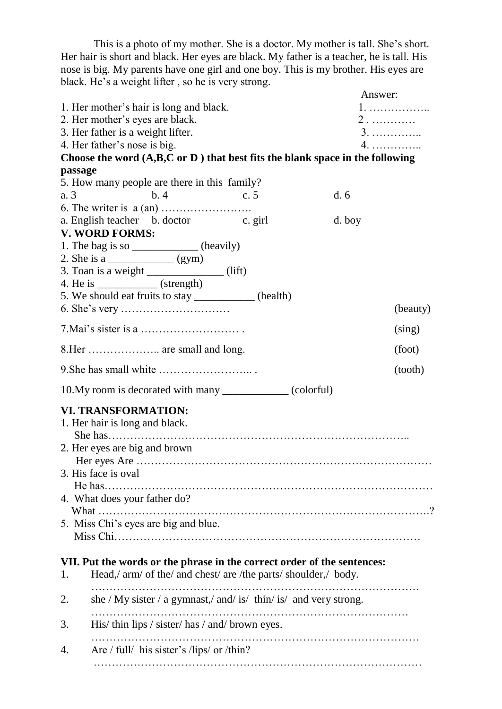This is a photo of my mother. She is a doctor. My mother is tall. She's short. Her hair is short and black. Her eyes are black. My father is a teacher, he is tall. His nose is big. My parents have one girl and one boy. This is my brother. His eyes are black. He's a weight lifter , so he is very strong.

|         |                                                                              | Answer: |          |
|---------|------------------------------------------------------------------------------|---------|----------|
|         | 1. Her mother's hair is long and black.                                      | $1.$    |          |
|         | 2. Her mother's eyes are black.                                              | $2$     |          |
|         | 3. Her father is a weight lifter.                                            | 3.      |          |
|         | 4. Her father's nose is big.                                                 | 4.      |          |
|         | Choose the word (A,B,C or D) that best fits the blank space in the following |         |          |
| passage |                                                                              |         |          |
|         | 5. How many people are there in this family?                                 |         |          |
| a. 3    | $\mathbf{b}$ . 4<br>c.5                                                      | d.6     |          |
|         |                                                                              |         |          |
|         | a. English teacher b. doctor c. girl                                         | d. boy  |          |
|         | <b>V. WORD FORMS:</b>                                                        |         |          |
|         | 1. The bag is so _____________ (heavily)                                     |         |          |
|         |                                                                              |         |          |
|         | 3. Toan is a weight ______________(lift)                                     |         |          |
|         | 4. He is $\frac{\qquad \qquad}{\qquad \qquad}$ (strength)                    |         |          |
|         | 5. We should eat fruits to stay ____________ (health)                        |         | (beauty) |
|         |                                                                              |         |          |
|         |                                                                              |         | (sing)   |
|         | 8.Her  are small and long.                                                   |         | (foot)   |
|         |                                                                              |         |          |
|         | 9. She has small white $\dots \dots \dots \dots \dots \dots$                 |         | (tooth)  |
|         | 10. My room is decorated with many _______________ (colorful)                |         |          |
|         |                                                                              |         |          |
|         | <b>VI. TRANSFORMATION:</b>                                                   |         |          |
|         | 1. Her hair is long and black.                                               |         |          |
|         |                                                                              |         |          |
|         | 2. Her eyes are big and brown                                                |         |          |
|         | 3. His face is oval                                                          |         |          |
|         |                                                                              |         |          |
|         | 4. What does your father do?                                                 |         |          |
|         |                                                                              |         |          |
|         | 5. Miss Chi's eyes are big and blue.                                         |         |          |
|         |                                                                              |         |          |
|         |                                                                              |         |          |
|         | VII. Put the words or the phrase in the correct order of the sentences:      |         |          |
| 1.      | Head,/ arm/ of the/ and chest/ are /the parts/ shoulder,/ body.              |         |          |
|         |                                                                              |         |          |
| 2.      | she / My sister / a gymnast,/ and/ is/ thin/ is/ and very strong.            |         |          |
|         |                                                                              |         |          |
| 3.      | His/thin lips / sister/has/and/brown eyes.                                   |         |          |
|         |                                                                              |         |          |
| 4.      | Are $/$ full $/$ his sister's $/$ lips $/$ or $/$ thin?                      |         |          |
|         |                                                                              |         |          |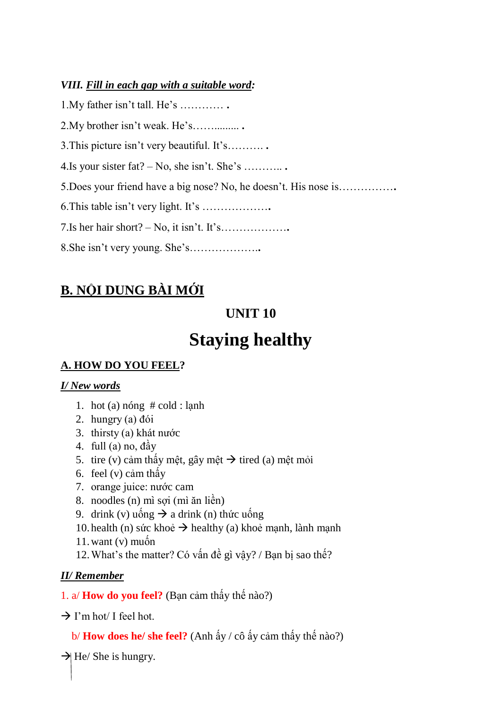### *VIII. Fill in each gap with a suitable word:*

| $1.My$ father isn't tall. He's                                   |
|------------------------------------------------------------------|
| 2. My brother isn't weak. He's                                   |
| 3. This picture isn't very beautiful. It's                       |
| 4. Is your sister fat? $-$ No, she isn't. She's                  |
| 5. Does your friend have a big nose? No, he doesn't. His nose is |
|                                                                  |
|                                                                  |
|                                                                  |

# **B. NỘI DUNG BÀI MỚI**

# **UNIT 10**

# **Staying healthy**

# **A. HOW DO YOU FEEL?**

## *I/ New words*

- 1. hot (a) nóng # cold : lạnh
- 2. hungry (a) đói
- 3. thirsty (a) khát nước
- 4. full (a) no, đầy
- 5. tire (v) cảm thấy mệt, gây mệt  $\rightarrow$  tired (a) mệt mỏi
- 6. feel (v) cảm thấy
- 7. orange juice: nước cam
- 8. noodles (n) mì sợi (mì ăn liền)
- 9. drink (v) uống  $\rightarrow$  a drink (n) thức uống
- 10. health (n) sức khoẻ  $\rightarrow$  healthy (a) khoẻ mạnh, lành mạnh
- 11. want  $(v)$  muốn
- 12.What's the matter? Có vấn đề gì vậy? / Bạn bị sao thế?

# *II/ Remember*

## 1. a/ **How do you feel?** (Bạn cảm thấy thế nào?)

- $\rightarrow$  I'm hot/ I feel hot.
	- b/ **How does he/ she feel?** (Anh ấy / cô ấy cảm thấy thế nào?)

 $\rightarrow$  He/ She is hungry.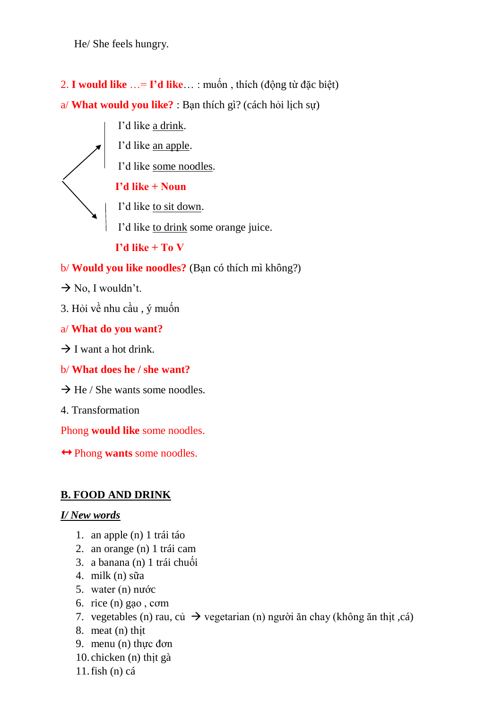He/ She feels hungry.

2. **I would like** …= **I'd like**… : muốn , thích (động từ đặc biệt) a/ **What would you like?** : Bạn thích gì? (cách hỏi lịch sự)

I'd like a drink.

I'd like an apple.

I'd like some noodles.

## **I'd like + Noun**

I'd like to sit down.

I'd like to drink some orange juice.

**I'd like + To V**

b/ **Would you like noodles?** (Bạn có thích mì không?)

- $\rightarrow$  No, I wouldn't.
- 3. Hỏi về nhu cầu , ý muốn

a/ **What do you want?**

 $\rightarrow$  I want a hot drink.

b/ **What does he / she want?**

 $\rightarrow$  He / She wants some noodles.

4. Transformation

Phong **would like** some noodles.

 $\leftrightarrow$  Phong **wants** some noodles.

## **B. FOOD AND DRINK**

#### *I/ New words*

- 1. an apple (n) 1 trái táo
- 2. an orange (n) 1 trái cam
- 3. a banana (n) 1 trái chuối
- 4. milk (n) sữa
- 5. water (n) nước
- 6. rice (n) gạo , cơm
- 7. vegetables (n) rau, củ  $\rightarrow$  vegetarian (n) người ăn chay (không ăn thịt ,cá)
- 8. meat (n) thịt
- 9. menu (n) thực đơn
- 10. chicken (n) thịt gà

11.fish (n) cá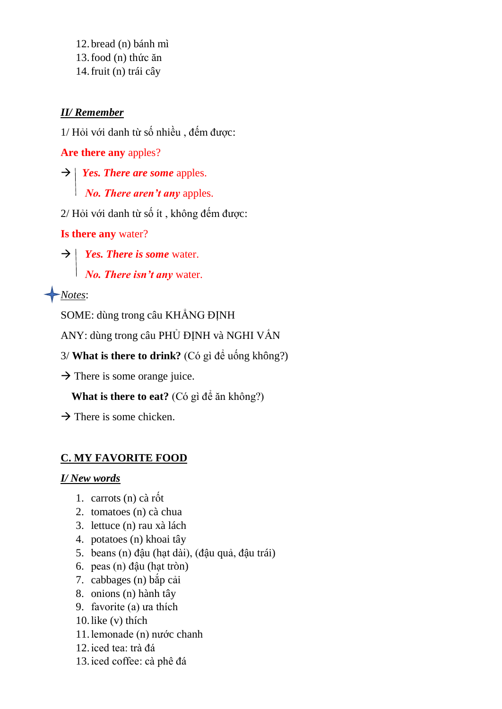12.bread (n) bánh mì 13.food (n) thức ăn 14.fruit (n) trái cây

#### *II/ Remember*

1/ Hỏi với danh từ số nhiều , đếm được:

**Are there any** apples?

 $\rightarrow$  *Yes. There are some apples. No. There aren't any* apples.

2/ Hỏi với danh từ số ít , không đếm được:

**Is there any** water?

 $\rightarrow$  *Yes. There is some water. No. There isn't any* water.

*Notes*:

SOME: dùng trong câu KHẲNG ĐỊNH

ANY: dùng trong câu PHỦ ĐỊNH và NGHI VẤN

3/ **What is there to drink?** (Có gì để uống không?)

 $\rightarrow$  There is some orange juice.

**What is there to eat?** (Có gì để ăn không?)

 $\rightarrow$  There is some chicken.

#### **C. MY FAVORITE FOOD**

#### *I/ New words*

- 1. carrots (n) cà rốt
- 2. tomatoes (n) cà chua
- 3. lettuce (n) rau xà lách
- 4. potatoes (n) khoai tây
- 5. beans (n) đậu (hạt dài), (đậu quả, đậu trái)
- 6. peas (n) đậu (hạt tròn)
- 7. cabbages (n) bắp cải
- 8. onions (n) hành tây
- 9. favorite (a) ưa thích
- 10.like (v) thích
- 11.lemonade (n) nước chanh
- 12.iced tea: trà đá
- 13.iced coffee: cà phê đá